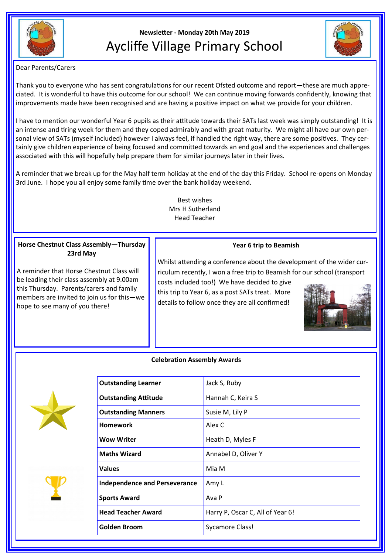

# **Newsletter - Monday 20th May 2019** Aycliffe Village Primary School



Dear Parents/Carers

Thank you to everyone who has sent congratulations for our recent Ofsted outcome and report—these are much appreciated. It is wonderful to have this outcome for our school! We can continue moving forwards confidently, knowing that improvements made have been recognised and are having a positive impact on what we provide for your children.

I have to mention our wonderful Year 6 pupils as their attitude towards their SATs last week was simply outstanding! It is an intense and tiring week for them and they coped admirably and with great maturity. We might all have our own personal view of SATs (myself included) however I always feel, if handled the right way, there are some positives. They certainly give children experience of being focused and committed towards an end goal and the experiences and challenges associated with this will hopefully help prepare them for similar journeys later in their lives.

A reminder that we break up for the May half term holiday at the end of the day this Friday. School re-opens on Monday 3rd June. I hope you all enjoy some family time over the bank holiday weekend.

> Best wishes Mrs H Sutherland Head Teacher

# **Horse Chestnut Class Assembly—Thursday 23rd May**

A reminder that Horse Chestnut Class will be leading their class assembly at 9.00am this Thursday. Parents/carers and family members are invited to join us for this—we hope to see many of you there!

# **Year 6 trip to Beamish**

Whilst attending a conference about the development of the wider curriculum recently, I won a free trip to Beamish for our school (transport

costs included too!) We have decided to give this trip to Year 6, as a post SATs treat. More details to follow once they are all confirmed!



#### **Celebration Assembly Awards**





| <b>Outstanding Learner</b>           | Jack S, Ruby                     |
|--------------------------------------|----------------------------------|
| <b>Outstanding Attitude</b>          | Hannah C, Keira S                |
| <b>Outstanding Manners</b>           | Susie M, Lily P                  |
| <b>Homework</b>                      | Alex C                           |
| <b>Wow Writer</b>                    | Heath D, Myles F                 |
| <b>Maths Wizard</b>                  | Annabel D, Oliver Y              |
| <b>Values</b>                        | Mia M                            |
| <b>Independence and Perseverance</b> | Amy L                            |
| <b>Sports Award</b>                  | Ava P                            |
| <b>Head Teacher Award</b>            | Harry P, Oscar C, All of Year 6! |
| <b>Golden Broom</b>                  | <b>Sycamore Class!</b>           |
|                                      |                                  |